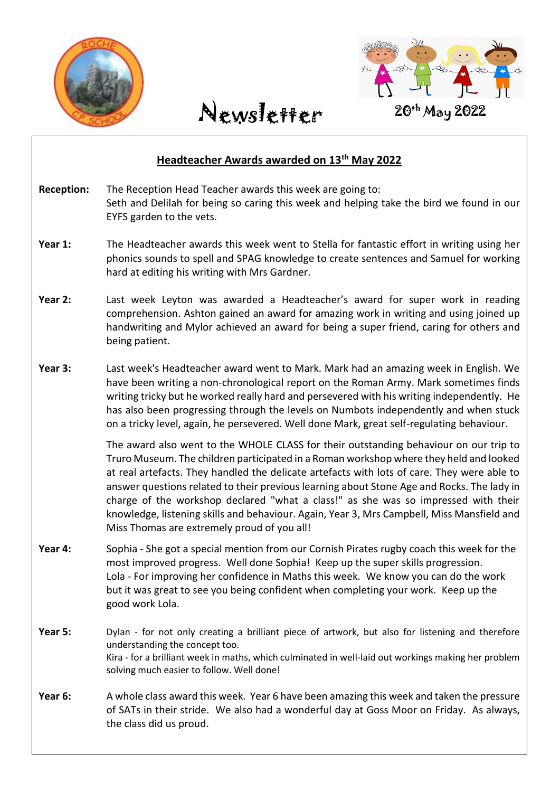



## April 2021 **Headteacher Awards awarded on 13th May 2022 Reception:** The Reception Head Teacher awards this week are going to: Seth and Delilah for being so caring this week and helping take the bird we found in our EYFS garden to the vets. **Year 1:** The Headteacher awards this week went to Stella for fantastic effort in writing using her phonics sounds to spell and SPAG knowledge to create sentences and Samuel for working hard at editing his writing with Mrs Gardner. **Year 2:** Last week Leyton was awarded a Headteacher's award for super work in reading comprehension. Ashton gained an award for amazing work in writing and using joined up handwriting and Mylor achieved an award for being a super friend, caring for others and being patient. **Year 3:** Last week's Headteacher award went to Mark. Mark had an amazing week in English. We have been writing a non-chronological report on the Roman Army. Mark sometimes finds writing tricky but he worked really hard and persevered with his writing independently. He has also been progressing through the levels on Numbots independently and when stuck on a tricky level, again, he persevered. Well done Mark, great self-regulating behaviour. The award also went to the WHOLE CLASS for their outstanding behaviour on our trip to Truro Museum. The children participated in a Roman workshop where they held and looked at real artefacts. They handled the delicate artefacts with lots of care. They were able to answer questions related to their previous learning about Stone Age and Rocks. The lady in charge of the workshop declared "what a class!" as she was so impressed with their knowledge, listening skills and behaviour. Again, Year 3, Mrs Campbell, Miss Mansfield and Miss Thomas are extremely proud of you all! **Year 4:** Sophia - She got a special mention from our Cornish Pirates rugby coach this week for the most improved progress. Well done Sophia! Keep up the super skills progression. Lola - For improving her confidence in Maths this week. We know you can do the work but it was great to see you being confident when completing your work. Keep up the good work Lola. **Year 5:** Dylan - for not only creating a brilliant piece of artwork, but also for listening and therefore understanding the concept too. Kira - for a brilliant week in maths, which culminated in well-laid out workings making her problem solving much easier to follow. Well done! **Year 6:** A whole class award this week. Year 6 have been amazing this week and taken the pressure of SATs in their stride. We also had a wonderful day at Goss Moor on Friday. As always, the class did us proud.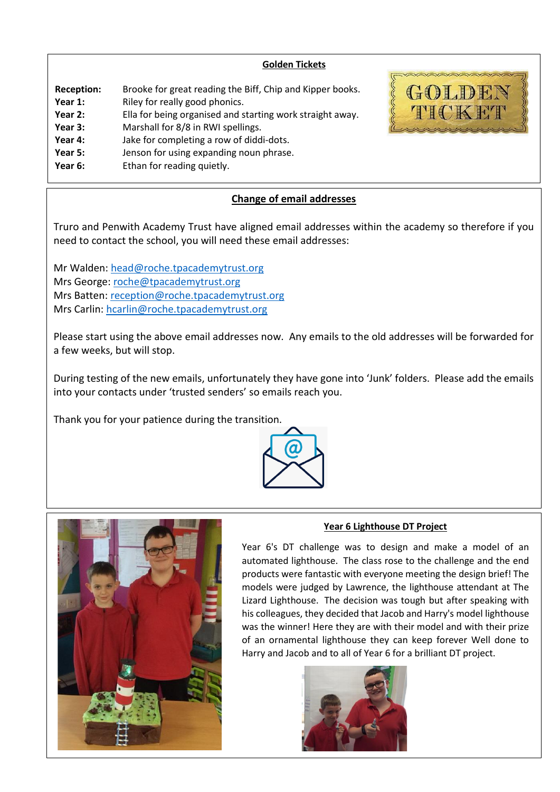### **Golden Tickets**

| <b>Reception:</b><br>Year 1: | Brooke for great reading the Biff, Chip and Kipper books.<br>Riley for really good phonics. |
|------------------------------|---------------------------------------------------------------------------------------------|
| Year 2:                      | Ella for being organised and starting work straight away.                                   |
| Year 3:                      | Marshall for 8/8 in RWI spellings.                                                          |
| Year 4:                      | Jake for completing a row of diddi-dots.                                                    |
| Year 5:                      | Jenson for using expanding noun phrase.                                                     |
| Year 6:                      | Ethan for reading quietly.                                                                  |



### **Change of email addresses**

Truro and Penwith Academy Trust have aligned email addresses within the academy so therefore if you need to contact the school, you will need these email addresses:

Mr Walden: [head@roche.tpacademytrust.org](mailto:head@roche.tpacademytrust.org) Mrs George: [roche@tpacademytrust.org](mailto:roche@tpacademytrust.org) Mrs Batten: [reception@roche.tpacademytrust.org](mailto:reception@roche.tpacademytrust.org) Mrs Carlin: [hcarlin@roche.tpacademytrust.org](mailto:hcarlin@roche.tpacademytrust.org)

Please start using the above email addresses now. Any emails to the old addresses will be forwarded for a few weeks, but will stop.

During testing of the new emails, unfortunately they have gone into 'Junk' folders. Please add the emails into your contacts under 'trusted senders' so emails reach you.

Thank you for your patience during the transition.





### **Year 6 Lighthouse DT Project**

Year 6's DT challenge was to design and make a model of an automated lighthouse. The class rose to the challenge and the end products were fantastic with everyone meeting the design brief! The models were judged by Lawrence, the lighthouse attendant at The Lizard Lighthouse. The decision was tough but after speaking with his colleagues, they decided that Jacob and Harry's model lighthouse was the winner! Here they are with their model and with their prize of an ornamental lighthouse they can keep forever Well done to Harry and Jacob and to all of Year 6 for a brilliant DT project.

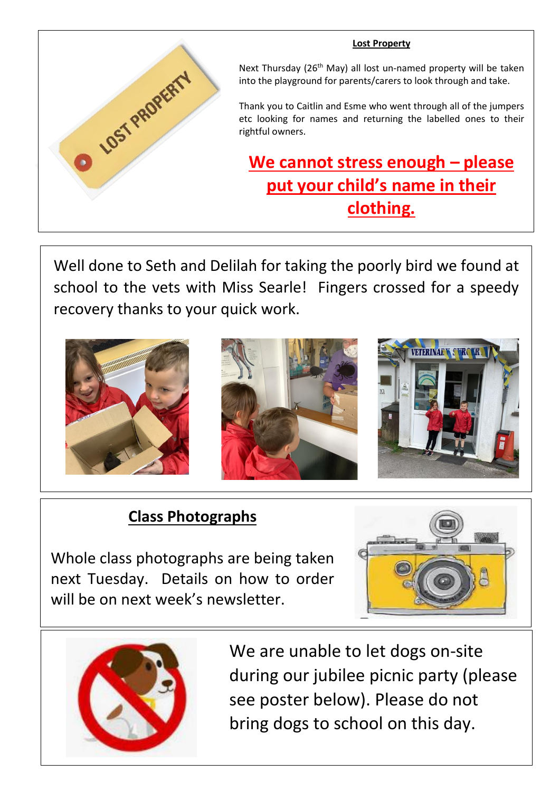# **O LOST PROPERTY**

Next Thursday (26<sup>th</sup> May) all lost un-named property will be taken into the playground for parents/carers to look through and take.

**Lost Property**

Thank you to Caitlin and Esme who went through all of the jumpers etc looking for names and returning the labelled ones to their rightful owners.

# **We cannot stress enough – please put your child's name in their clothing.**

Well done to Seth and Delilah for taking the poorly bird we found at school to the vets with Miss Searle! Fingers crossed for a speedy recovery thanks to your quick work.



# **Class Photographs**

Whole class photographs are being taken next Tuesday. Details on how to order will be on next week's newsletter.





We are unable to let dogs on-site during our jubilee picnic party (please see poster below). Please do not bring dogs to school on this day.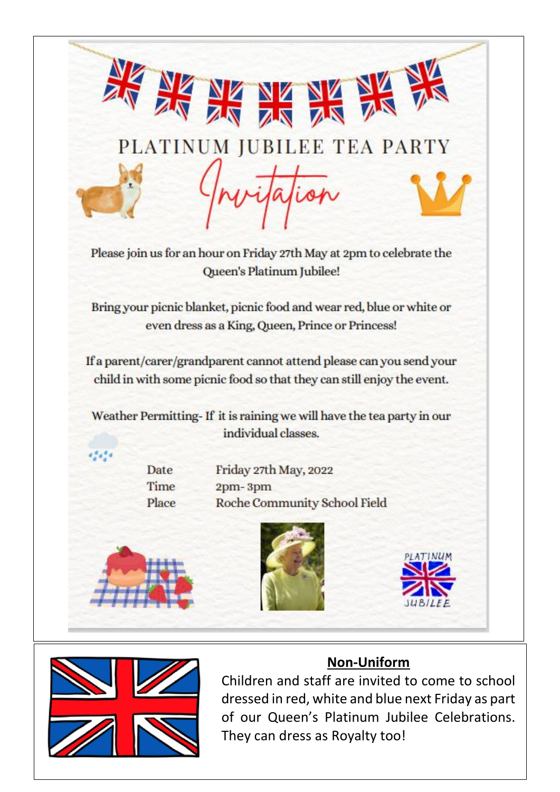|                       | $\frac{N}{2}$                                                                                                                                  |
|-----------------------|------------------------------------------------------------------------------------------------------------------------------------------------|
| 王                     | PLATINUM JUBILEE TEA PARTY                                                                                                                     |
|                       | Please join us for an hour on Friday 27th May at 2pm to celebrate the<br>Queen's Platinum Jubilee!                                             |
|                       | Bring your picnic blanket, picnic food and wear red, blue or white or<br>even dress as a King, Queen, Prince or Princess!                      |
|                       | If a parent/carer/grandparent cannot attend please can you send your<br>child in with some picnic food so that they can still enjoy the event. |
|                       | Weather Permitting-If it is raining we will have the tea party in our<br>individual classes.                                                   |
| Date<br>Time<br>Place | Friday 27th May, 2022<br>2pm-3pm<br>Roche Community School Field                                                                               |
|                       |                                                                                                                                                |

dressed in red, white and blue next Friday as part of our Queen's Platinum Jubilee Celebrations. They can dress as Royalty too!